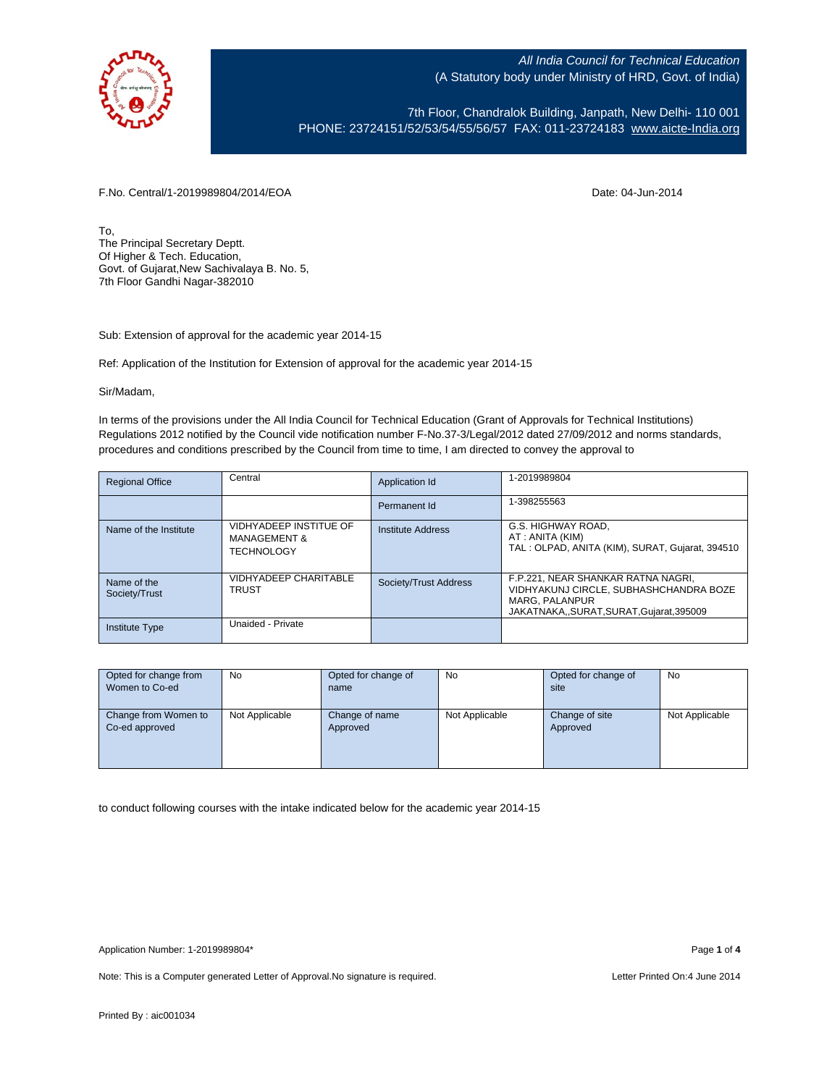

7th Floor, Chandralok Building, Janpath, New Delhi- 110 001 PHONE: 23724151/52/53/54/55/56/57 FAX: 011-23724183 [www.aicte-India.org](http://www.aicte-india.org/)

F.No. Central/1-2019989804/2014/EOA Date: 04-Jun-2014

To, The Principal Secretary Deptt. Of Higher & Tech. Education, Govt. of Gujarat,New Sachivalaya B. No. 5, 7th Floor Gandhi Nagar-382010

Sub: Extension of approval for the academic year 2014-15

Ref: Application of the Institution for Extension of approval for the academic year 2014-15

Sir/Madam,

In terms of the provisions under the All India Council for Technical Education (Grant of Approvals for Technical Institutions) Regulations 2012 notified by the Council vide notification number F-No.37-3/Legal/2012 dated 27/09/2012 and norms standards, procedures and conditions prescribed by the Council from time to time, I am directed to convey the approval to

| <b>Regional Office</b>       | Central                                                                | Application Id        | 1-2019989804                                                                                                                                   |
|------------------------------|------------------------------------------------------------------------|-----------------------|------------------------------------------------------------------------------------------------------------------------------------------------|
|                              |                                                                        | Permanent Id          | 1-398255563                                                                                                                                    |
| Name of the Institute        | VIDHYADEEP INSTITUE OF<br><b>MANAGEMENT &amp;</b><br><b>TECHNOLOGY</b> | Institute Address     | G.S. HIGHWAY ROAD.<br>AT: ANITA (KIM)<br>TAL: OLPAD, ANITA (KIM), SURAT, Gujarat, 394510                                                       |
| Name of the<br>Society/Trust | VIDHYADEEP CHARITABLE<br><b>TRUST</b>                                  | Society/Trust Address | F.P.221, NEAR SHANKAR RATNA NAGRI,<br>VIDHYAKUNJ CIRCLE, SUBHASHCHANDRA BOZE<br><b>MARG. PALANPUR</b><br>JAKATNAKA,,SURAT,SURAT,Gujarat,395009 |
| <b>Institute Type</b>        | Unaided - Private                                                      |                       |                                                                                                                                                |

| Opted for change from | <b>No</b>      | Opted for change of | No             | Opted for change of | No             |
|-----------------------|----------------|---------------------|----------------|---------------------|----------------|
| Women to Co-ed        |                | name                |                | site                |                |
|                       |                |                     |                |                     |                |
| Change from Women to  | Not Applicable | Change of name      | Not Applicable | Change of site      | Not Applicable |
| Co-ed approved        |                | Approved            |                | Approved            |                |
|                       |                |                     |                |                     |                |
|                       |                |                     |                |                     |                |
|                       |                |                     |                |                     |                |

to conduct following courses with the intake indicated below for the academic year 2014-15

Note: This is a Computer generated Letter of Approval. No signature is required. Letter Printed On:4 June 2014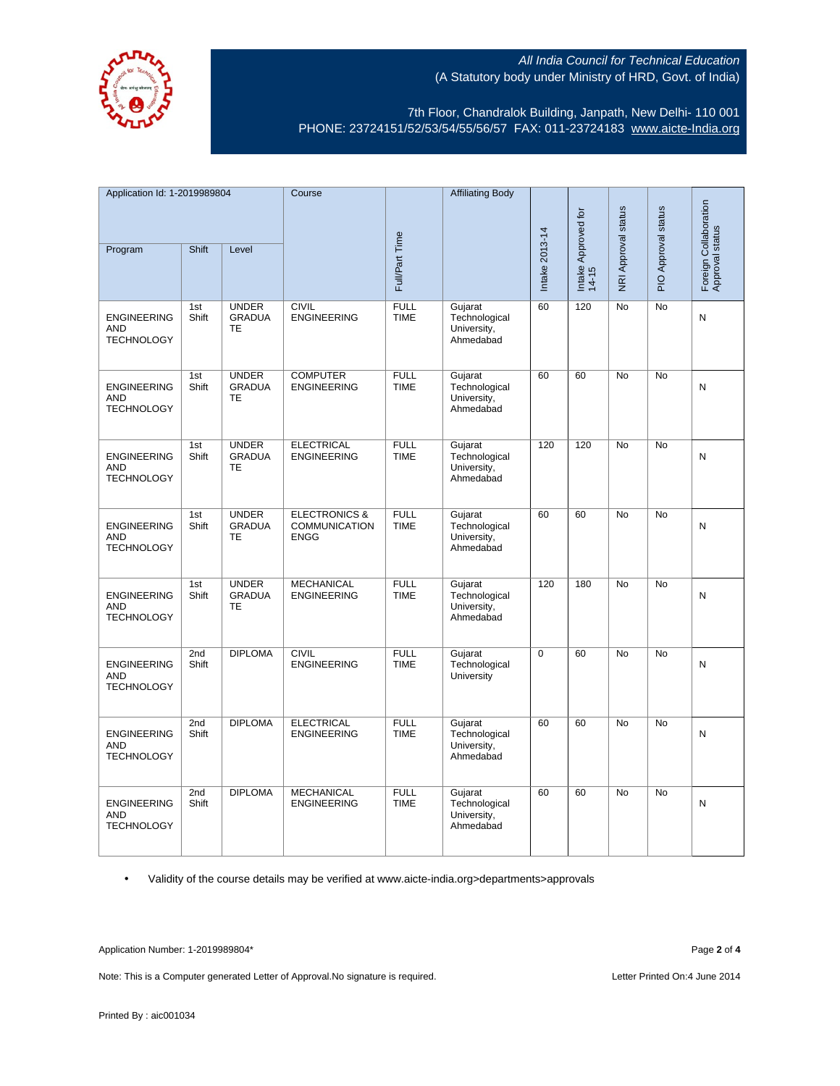

7th Floor, Chandralok Building, Janpath, New Delhi- 110 001 PHONE: 23724151/52/53/54/55/56/57 FAX: 011-23724183 [www.aicte-India.org](http://www.aicte-india.org/)

| Application Id: 1-2019989804                          |              | Course                                     |                                                                 | <b>Affiliating Body</b>    |                                                      |                |                              |                     |                     |                                          |
|-------------------------------------------------------|--------------|--------------------------------------------|-----------------------------------------------------------------|----------------------------|------------------------------------------------------|----------------|------------------------------|---------------------|---------------------|------------------------------------------|
| Program                                               | Shift        | Level                                      |                                                                 | Full/Part Time             |                                                      | Intake 2013-14 | Intake Approved for<br>14-15 | NRI Approval status | PIO Approval status | Foreign Collaboration<br>Approval status |
| <b>ENGINEERING</b><br><b>AND</b><br><b>TECHNOLOGY</b> | 1st<br>Shift | <b>UNDER</b><br><b>GRADUA</b><br><b>TE</b> | <b>CIVIL</b><br><b>ENGINEERING</b>                              | <b>FULL</b><br><b>TIME</b> | Gujarat<br>Technological<br>University,<br>Ahmedabad | 60             | 120                          | No                  | No                  | ${\sf N}$                                |
| <b>ENGINEERING</b><br><b>AND</b><br><b>TECHNOLOGY</b> | 1st<br>Shift | <b>UNDER</b><br><b>GRADUA</b><br>TE        | <b>COMPUTER</b><br><b>ENGINEERING</b>                           | <b>FULL</b><br><b>TIME</b> | Gujarat<br>Technological<br>University,<br>Ahmedabad | 60             | 60                           | No                  | No                  | N                                        |
| <b>ENGINEERING</b><br><b>AND</b><br><b>TECHNOLOGY</b> | 1st<br>Shift | <b>UNDER</b><br><b>GRADUA</b><br><b>TE</b> | <b>ELECTRICAL</b><br><b>ENGINEERING</b>                         | <b>FULL</b><br><b>TIME</b> | Gujarat<br>Technological<br>University,<br>Ahmedabad | 120            | 120                          | <b>No</b>           | <b>No</b>           | N                                        |
| <b>ENGINEERING</b><br><b>AND</b><br><b>TECHNOLOGY</b> | 1st<br>Shift | <b>UNDER</b><br><b>GRADUA</b><br><b>TE</b> | <b>ELECTRONICS &amp;</b><br><b>COMMUNICATION</b><br><b>ENGG</b> | <b>FULL</b><br><b>TIME</b> | Gujarat<br>Technological<br>University,<br>Ahmedabad | 60             | 60                           | <b>No</b>           | <b>No</b>           | N                                        |
| <b>ENGINEERING</b><br><b>AND</b><br><b>TECHNOLOGY</b> | 1st<br>Shift | <b>UNDER</b><br><b>GRADUA</b><br>TE        | <b>MECHANICAL</b><br><b>ENGINEERING</b>                         | <b>FULL</b><br><b>TIME</b> | Gujarat<br>Technological<br>University,<br>Ahmedabad | 120            | 180                          | <b>No</b>           | <b>No</b>           | N                                        |
| <b>ENGINEERING</b><br><b>AND</b><br><b>TECHNOLOGY</b> | 2nd<br>Shift | <b>DIPLOMA</b>                             | <b>CIVIL</b><br><b>ENGINEERING</b>                              | <b>FULL</b><br><b>TIME</b> | Gujarat<br>Technological<br>University               | $\Omega$       | 60                           | <b>No</b>           | <b>No</b>           | N                                        |
| <b>ENGINEERING</b><br><b>AND</b><br><b>TECHNOLOGY</b> | 2nd<br>Shift | <b>DIPLOMA</b>                             | <b>ELECTRICAL</b><br><b>ENGINEERING</b>                         | <b>FULL</b><br><b>TIME</b> | Gujarat<br>Technological<br>University,<br>Ahmedabad | 60             | 60                           | <b>No</b>           | <b>No</b>           | N                                        |
| <b>ENGINEERING</b><br><b>AND</b><br><b>TECHNOLOGY</b> | 2nd<br>Shift | <b>DIPLOMA</b>                             | <b>MECHANICAL</b><br><b>ENGINEERING</b>                         | <b>FULL</b><br><b>TIME</b> | Gujarat<br>Technological<br>University,<br>Ahmedabad | 60             | 60                           | No                  | No                  | N                                        |

• Validity of the course details may be verified at www.aicte-india.org>departments>approvals

Application Number: 1-2019989804\* Page **2** of **4**

Note: This is a Computer generated Letter of Approval.No signature is required. <br>
Letter Printed On:4 June 2014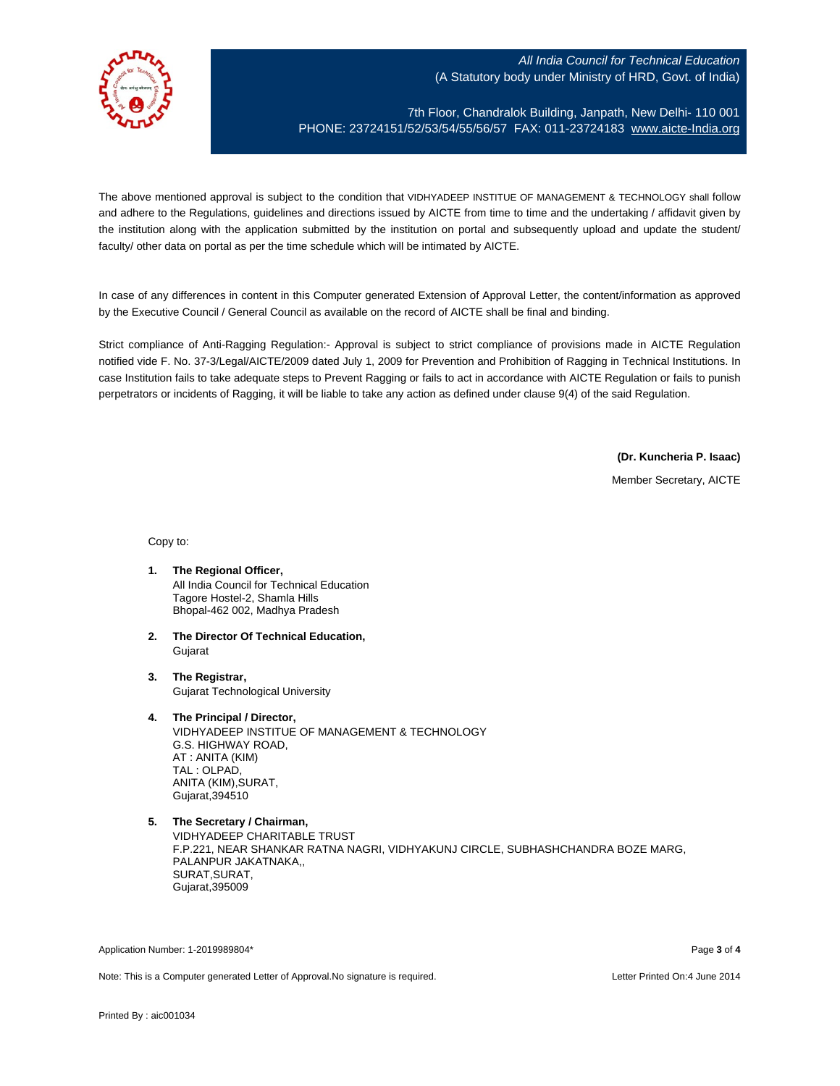

7th Floor, Chandralok Building, Janpath, New Delhi- 110 001 PHONE: 23724151/52/53/54/55/56/57 FAX: 011-23724183 [www.aicte-India.org](http://www.aicte-india.org/)

The above mentioned approval is subject to the condition that VIDHYADEEP INSTITUE OF MANAGEMENT & TECHNOLOGY shall follow and adhere to the Regulations, guidelines and directions issued by AICTE from time to time and the undertaking / affidavit given by the institution along with the application submitted by the institution on portal and subsequently upload and update the student/ faculty/ other data on portal as per the time schedule which will be intimated by AICTE.

In case of any differences in content in this Computer generated Extension of Approval Letter, the content/information as approved by the Executive Council / General Council as available on the record of AICTE shall be final and binding.

Strict compliance of Anti-Ragging Regulation:- Approval is subject to strict compliance of provisions made in AICTE Regulation notified vide F. No. 37-3/Legal/AICTE/2009 dated July 1, 2009 for Prevention and Prohibition of Ragging in Technical Institutions. In case Institution fails to take adequate steps to Prevent Ragging or fails to act in accordance with AICTE Regulation or fails to punish perpetrators or incidents of Ragging, it will be liable to take any action as defined under clause 9(4) of the said Regulation.

**(Dr. Kuncheria P. Isaac)**

Member Secretary, AICTE

Copy to:

- **1. The Regional Officer,** All India Council for Technical Education Tagore Hostel-2, Shamla Hills Bhopal-462 002, Madhya Pradesh
- **2. The Director Of Technical Education,** Gujarat
- **3. The Registrar,** Gujarat Technological University
- **4. The Principal / Director,**

VIDHYADEEP INSTITUE OF MANAGEMENT & TECHNOLOGY G.S. HIGHWAY ROAD, AT : ANITA (KIM) TAL : OLPAD, ANITA (KIM),SURAT, Gujarat,394510

Application Number: 1-2019989804\* Page **3** of **4**

Note: This is a Computer generated Letter of Approval.No signature is required. Letter Printed On:4 June 2014

**<sup>5.</sup> The Secretary / Chairman,** VIDHYADEEP CHARITABLE TRUST F.P.221, NEAR SHANKAR RATNA NAGRI, VIDHYAKUNJ CIRCLE, SUBHASHCHANDRA BOZE MARG, PALANPUR JAKATNAKA,, SURAT,SURAT, Gujarat,395009